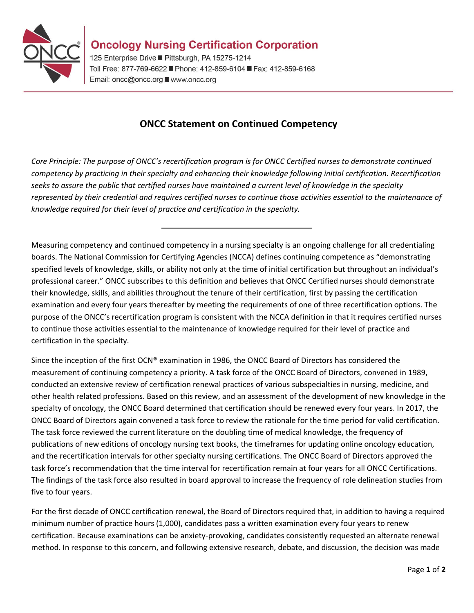

125 Enterprise Drive ■ Pittsburgh, PA 15275-1214 Toll Free: 877-769-6622 Phone: 412-859-6104 Fax: 412-859-6168 Email: oncc@oncc.org ■ www.oncc.org

## **ONCC Statement on Continued Competency**

*Core Principle: The purpose of ONCC's recertification program is for ONCC Certified nurses to demonstrate continued competency by practicing in their specialty and enhancing their knowledge following initial certification. Recertification seeks to assure the public that certified nurses have maintained a current level of knowledge in the specialty represented by their credential and requires certified nurses to continue those activities essential to the maintenance of knowledge required for their level of practice and certification in the specialty.* 

Measuring competency and continued competency in a nursing specialty is an ongoing challenge for all credentialing boards. The National Commission for Certifying Agencies (NCCA) defines continuing competence as "demonstrating specified levels of knowledge, skills, or ability not only at the time of initial certification but throughout an individual's professional career." ONCC subscribes to this definition and believes that ONCC Certified nurses should demonstrate their knowledge, skills, and abilities throughout the tenure of their certification, first by passing the certification examination and every four years thereafter by meeting the requirements of one of three recertification options. The purpose of the ONCC's recertification program is consistent with the NCCA definition in that it requires certified nurses to continue those activities essential to the maintenance of knowledge required for their level of practice and certification in the specialty.

Since the inception of the first OCN® examination in 1986, the ONCC Board of Directors has considered the measurement of continuing competency a priority. A task force of the ONCC Board of Directors, convened in 1989, conducted an extensive review of certification renewal practices of various subspecialties in nursing, medicine, and other health related professions. Based on this review, and an assessment of the development of new knowledge in the specialty of oncology, the ONCC Board determined that certification should be renewed every four years. In 2017, the ONCC Board of Directors again convened a task force to review the rationale for the time period for valid certification. The task force reviewed the current literature on the doubling time of medical knowledge, the frequency of publications of new editions of oncology nursing text books, the timeframes for updating online oncology education, and the recertification intervals for other specialty nursing certifications. The ONCC Board of Directors approved the task force's recommendation that the time interval for recertification remain at four years for all ONCC Certifications. The findings of the task force also resulted in board approval to increase the frequency of role delineation studies from five to four years.

For the first decade of ONCC certification renewal, the Board of Directors required that, in addition to having a required minimum number of practice hours (1,000), candidates pass a written examination every four years to renew certification. Because examinations can be anxiety-provoking, candidates consistently requested an alternate renewal method. In response to this concern, and following extensive research, debate, and discussion, the decision was made